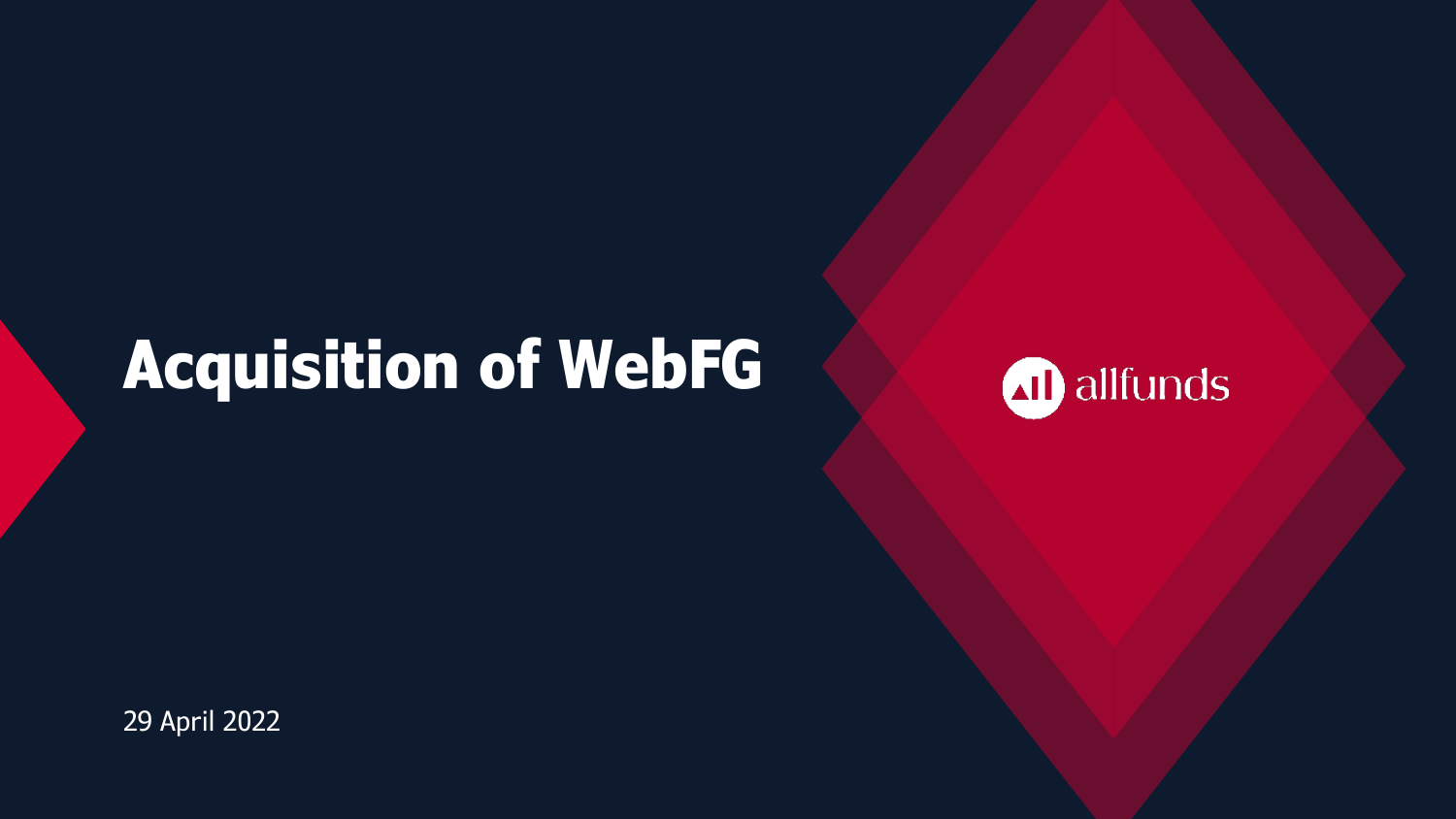# **Acquisition of WebFG**



29 April 2022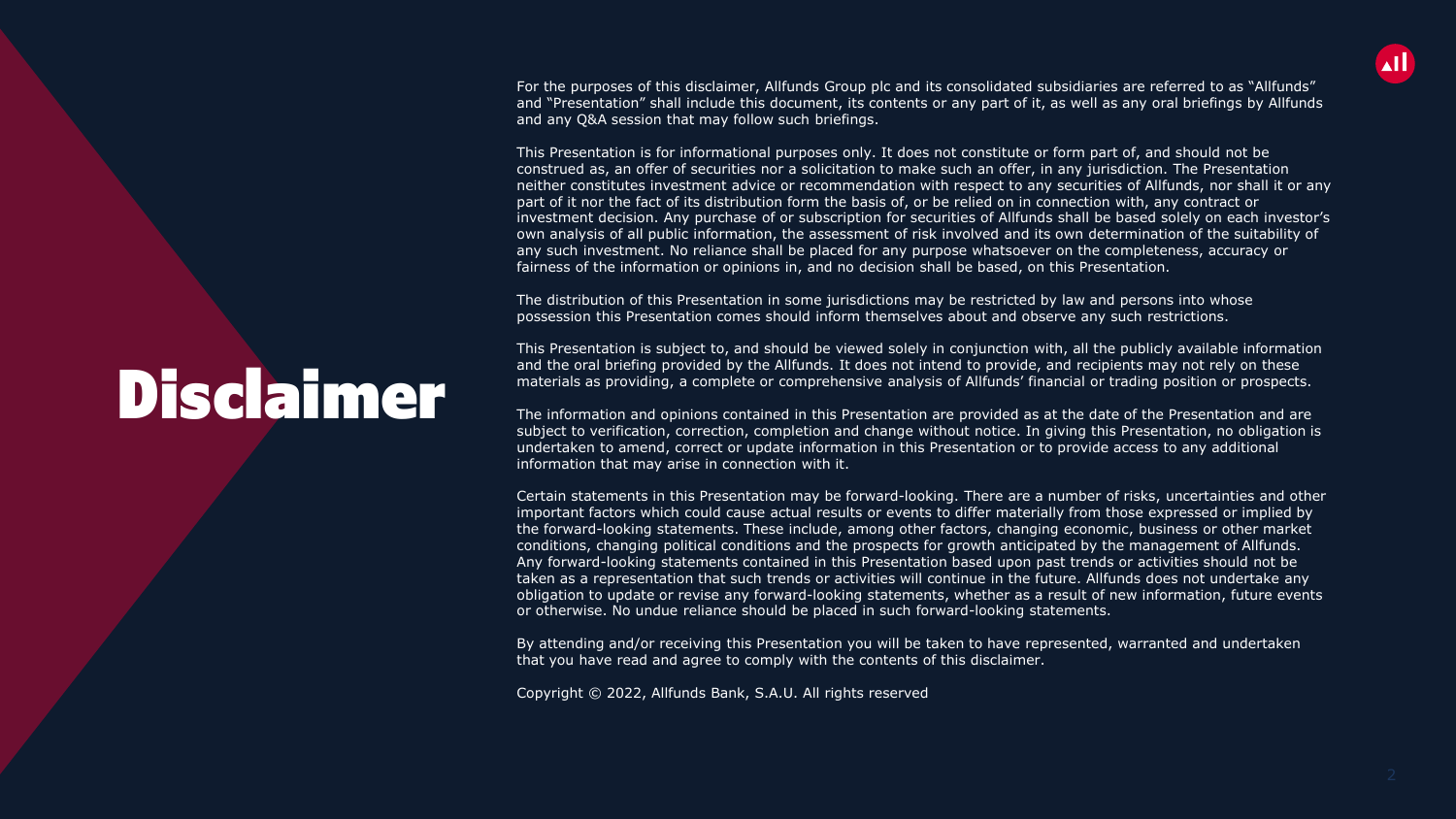

For the purposes of this disclaimer, Allfunds Group plc and its consolidated subsidiaries are referred to as "Allfunds" and "Presentation" shall include this document, its contents or any part of it, as well as any oral briefings by Allfunds and any Q&A session that may follow such briefings.

This Presentation is for informational purposes only. It does not constitute or form part of, and should not be construed as, an offer of securities nor a solicitation to make such an offer, in any jurisdiction. The Presentation neither constitutes investment advice or recommendation with respect to any securities of Allfunds, nor shall it or any part of it nor the fact of its distribution form the basis of, or be relied on in connection with, any contract or investment decision. Any purchase of or subscription for securities of Allfunds shall be based solely on each investor's own analysis of all public information, the assessment of risk involved and its own determination of the suitability of any such investment. No reliance shall be placed for any purpose whatsoever on the completeness, accuracy or fairness of the information or opinions in, and no decision shall be based, on this Presentation.

The distribution of this Presentation in some jurisdictions may be restricted by law and persons into whose possession this Presentation comes should inform themselves about and observe any such restrictions.

This Presentation is subject to, and should be viewed solely in conjunction with, all the publicly available information and the oral briefing provided by the Allfunds. It does not intend to provide, and recipients may not rely on these materials as providing, a complete or comprehensive analysis of Allfunds' financial or trading position or prospects.

The information and opinions contained in this Presentation are provided as at the date of the Presentation and are subject to verification, correction, completion and change without notice. In giving this Presentation, no obligation is undertaken to amend, correct or update information in this Presentation or to provide access to any additional information that may arise in connection with it.

Certain statements in this Presentation may be forward-looking. There are a number of risks, uncertainties and other important factors which could cause actual results or events to differ materially from those expressed or implied by the forward-looking statements. These include, among other factors, changing economic, business or other market conditions, changing political conditions and the prospects for growth anticipated by the management of Allfunds. Any forward-looking statements contained in this Presentation based upon past trends or activities should not be taken as a representation that such trends or activities will continue in the future. Allfunds does not undertake any obligation to update or revise any forward-looking statements, whether as a result of new information, future events or otherwise. No undue reliance should be placed in such forward-looking statements.

By attending and/or receiving this Presentation you will be taken to have represented, warranted and undertaken that you have read and agree to comply with the contents of this disclaimer.

Copyright © 2022, Allfunds Bank, S.A.U. All rights reserved

# Disclaimer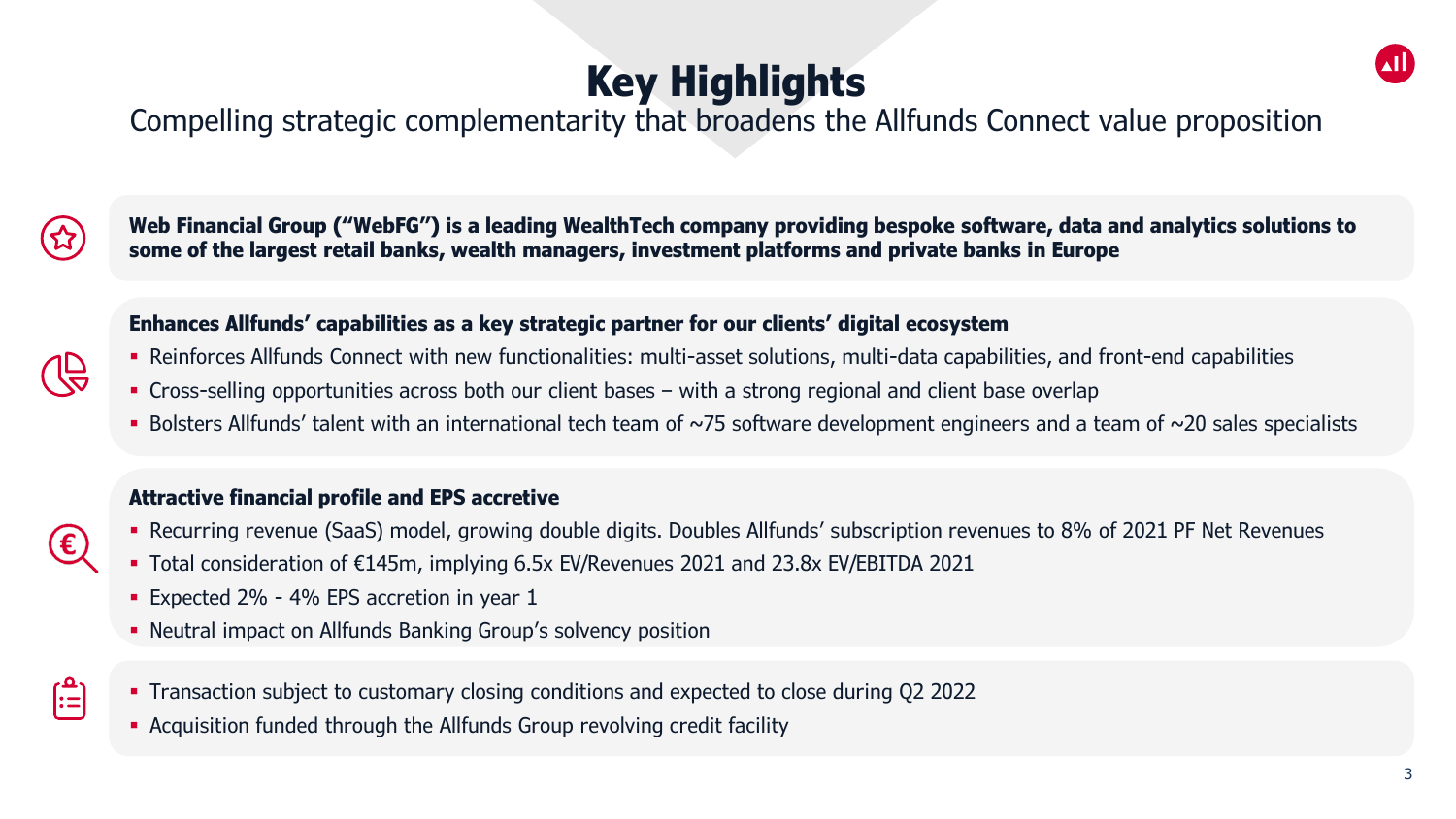# **Key Highlights**



Compelling strategic complementarity that broadens the Allfunds Connect value proposition



**Web Financial Group ("WebFG") is a leading WealthTech company providing bespoke software, data and analytics solutions to some of the largest retail banks, wealth managers, investment platforms and private banks in Europe**

#### **Enhances Allfunds' capabilities as a key strategic partner for our clients' digital ecosystem**

- Reinforces Allfunds Connect with new functionalities: multi-asset solutions, multi-data capabilities, and front-end capabilities
- Cross-selling opportunities across both our client bases with a strong regional and client base overlap
- Bolsters Allfunds' talent with an international tech team of ~75 software development engineers and a team of ~20 sales specialists

#### **Attractive financial profile and EPS accretive**

- Recurring revenue (SaaS) model, growing double digits. Doubles Allfunds' subscription revenues to 8% of 2021 PF Net Revenues
- Total consideration of €145m, implying 6.5x EV/Revenues 2021 and 23.8x EV/EBITDA 2021
- **Expected 2% 4% EPS accretion in year 1**
- Neutral impact on Allfunds Banking Group's solvency position
- $:=$
- Transaction subject to customary closing conditions and expected to close during Q2 2022
- Acquisition funded through the Allfunds Group revolving credit facility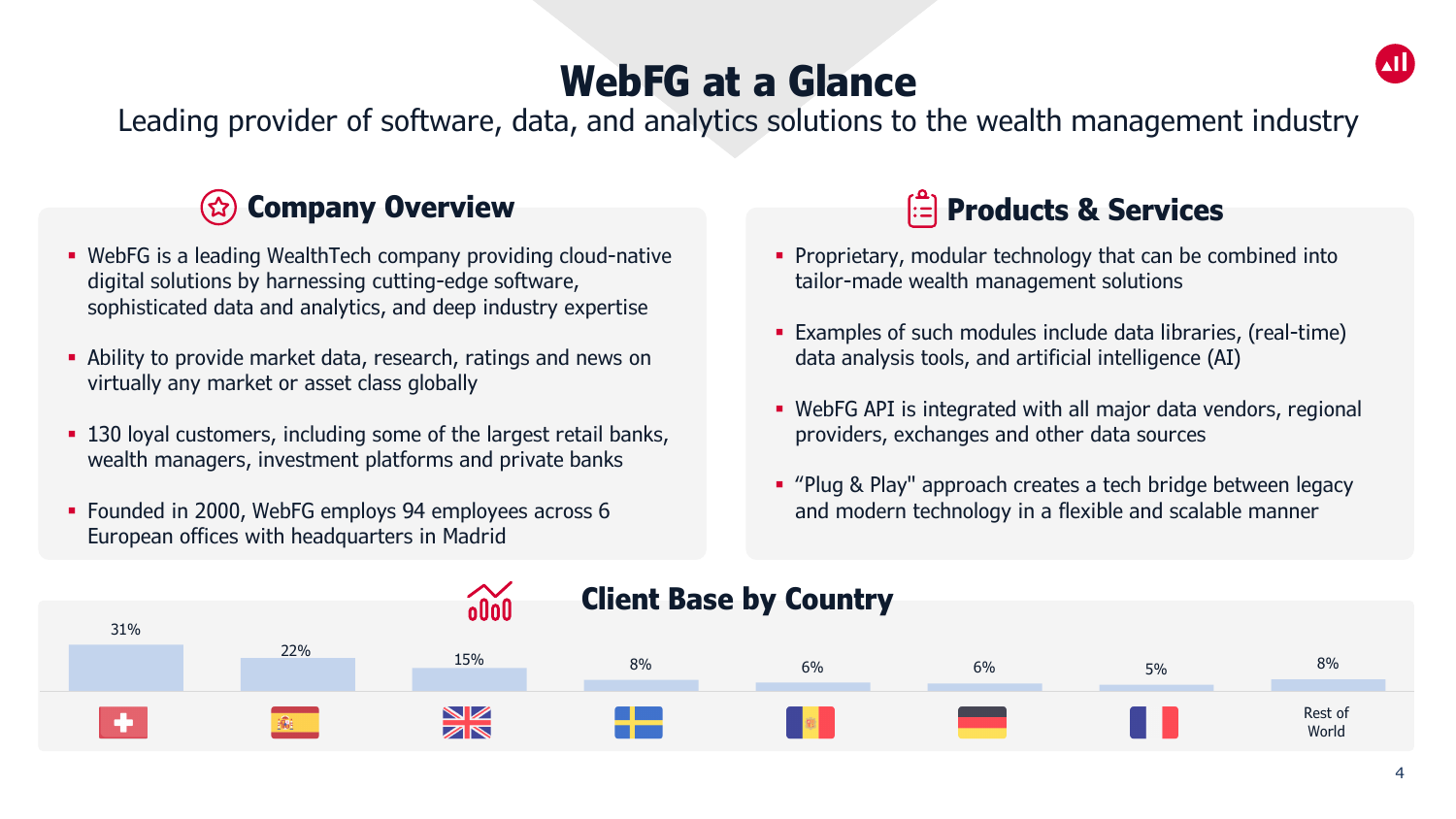## **WebFG at a Glance**

Leading provider of software, data, and analytics solutions to the wealth management industry

### **Company Overview**

- WebFG is a leading WealthTech company providing cloud-native digital solutions by harnessing cutting-edge software, sophisticated data and analytics, and deep industry expertise
- Ability to provide market data, research, ratings and news on virtually any market or asset class globally
- **130 loyal customers, including some of the largest retail banks,** wealth managers, investment platforms and private banks
- Founded in 2000, WebFG employs 94 employees across 6 European offices with headquarters in Madrid

### **Products & Services**

- **Proprietary, modular technology that can be combined into** tailor-made wealth management solutions
- Examples of such modules include data libraries, (real-time) data analysis tools, and artificial intelligence (AI)
- WebFG API is integrated with all major data vendors, regional providers, exchanges and other data sources
- **Plug & Play" approach creates a tech bridge between legacy** and modern technology in a flexible and scalable manner

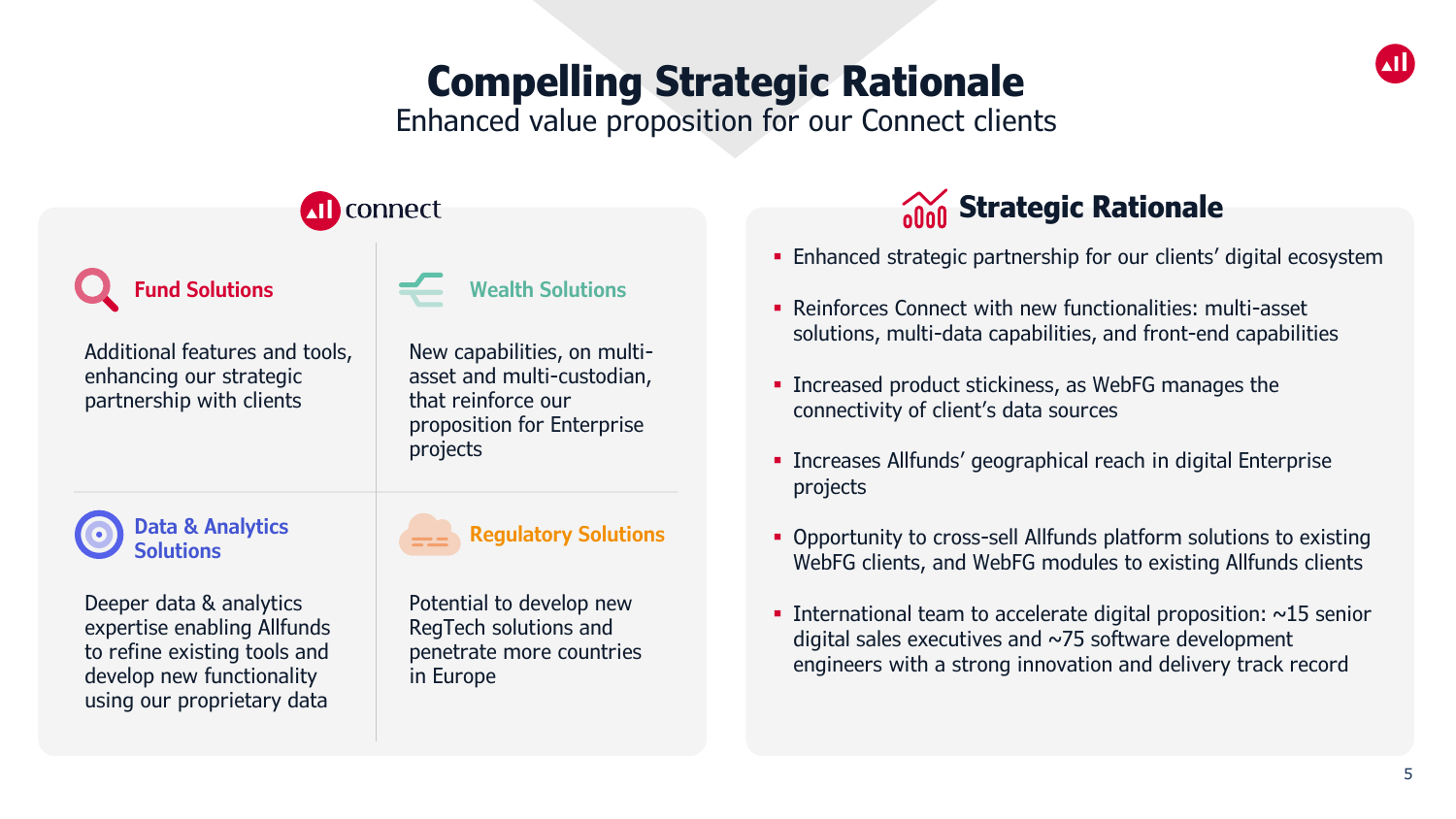## **Compelling Strategic Rationale**

Enhanced value proposition for our Connect clients

| connect                                                                                                                                           |                                                                                                                                                      |                                                                                                                                     |
|---------------------------------------------------------------------------------------------------------------------------------------------------|------------------------------------------------------------------------------------------------------------------------------------------------------|-------------------------------------------------------------------------------------------------------------------------------------|
| <b>Fund Solutions</b><br>Additional features and tools,<br>enhancing our strategic<br>partnership with clients                                    | <b>Wealth Solutions</b><br>New capabilities, on multi-<br>asset and multi-custodian,<br>that reinforce our<br>proposition for Enterprise<br>projects | • Enhanced strate<br>• Reinforces Conr<br>solutions, multi<br>• Increased prod<br>connectivity of<br>• Increases Allfur<br>projects |
| <b>Data &amp; Analytics</b><br><b>Solutions</b>                                                                                                   | <b>Regulatory Solutions</b>                                                                                                                          | • Opportunity to<br>WebFG clients,                                                                                                  |
| Deeper data & analytics<br>expertise enabling Allfunds<br>to refine existing tools and<br>develop new functionality<br>using our proprietary data | Potential to develop new<br>RegTech solutions and<br>penetrate more countries<br>in Europe                                                           | • International te<br>digital sales exe<br>engineers with                                                                           |

### **Strategic Rationale**

- egic partnership for our clients' digital ecosystem
- nect with new functionalities: multi-asset -data capabilities, and front-end capabilities
- uct stickiness, as WebFG manages the client's data sources
- nds' geographical reach in digital Enterprise
- cross-sell Allfunds platform solutions to existing and WebFG modules to existing Allfunds clients
- am to accelerate digital proposition:  $~15$  senior ecutives and  $\sim$ 75 software development a strong innovation and delivery track record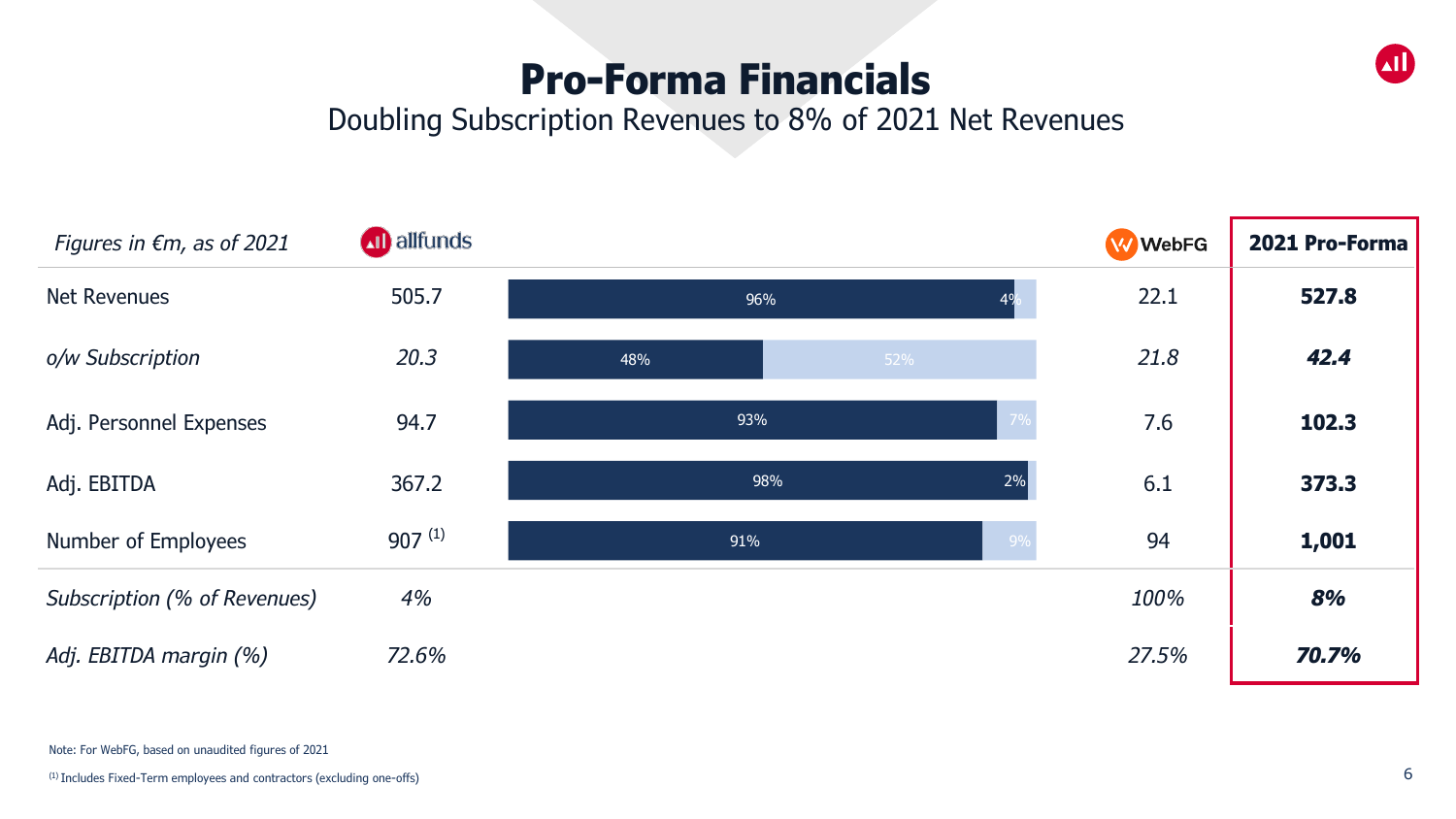### **Pro-Forma Financials**



#### Doubling Subscription Revenues to 8% of 2021 Net Revenues



Note: For WebFG, based on unaudited figures of 2021

(1) Includes Fixed-Term employees and contractors (excluding one-offs)